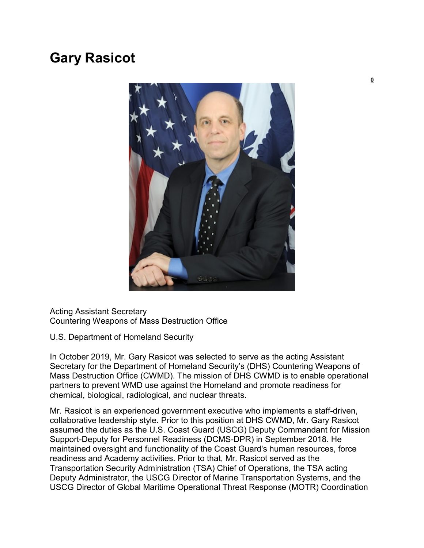## **Gary Rasicot**



Acting Assistant Secretary Countering Weapons of Mass Destruction Office

U.S. Department of Homeland Security

In October 2019, Mr. Gary Rasicot was selected to serve as the acting Assistant Secretary for the Department of Homeland Security's (DHS) Countering Weapons of Mass Destruction Office (CWMD). The mission of DHS CWMD is to enable operational partners to prevent WMD use against the Homeland and promote readiness for chemical, biological, radiological, and nuclear threats.

Mr. Rasicot is an experienced government executive who implements a staff-driven, collaborative leadership style. Prior to this position at DHS CWMD, Mr. Gary Rasicot assumed the duties as the U.S. Coast Guard (USCG) Deputy Commandant for Mission Support-Deputy for Personnel Readiness (DCMS-DPR) in September 2018. He maintained oversight and functionality of the Coast Guard's human resources, force readiness and Academy activities. Prior to that, Mr. Rasicot served as the Transportation Security Administration (TSA) Chief of Operations, the TSA acting Deputy Administrator, the USCG Director of Marine Transportation Systems, and the USCG Director of Global Maritime Operational Threat Response (MOTR) Coordination